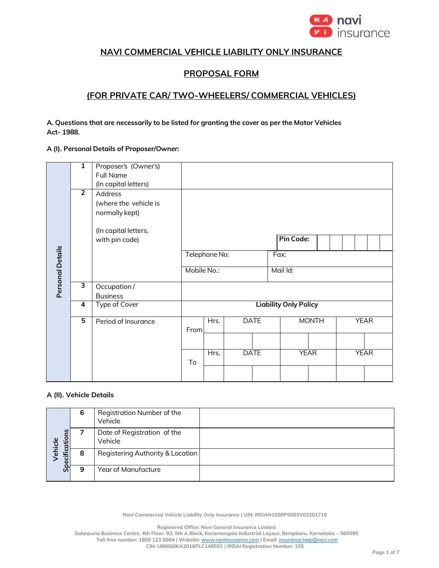

# **NAVI COMMERCIAL VEHICLE LIABILITY ONLY INSURANCE**

# **PROPOSAL FORM**

### **(FOR PRIVATE CAR/ TWO-WHEELERS/ COMMERCIAL VEHICLES)**

**A. Questions that are necessarily to be listed for granting the cover as per the Motor Vehicles Act- 1988.**

### **A (I). Personal Details of Proposer/Owner:**

|                  | $\overline{1}$ | Proposer's (Owner's)<br><b>Full Name</b><br>(In capital letters)                             |                                                               |      |             |             |                              |             |  |             |  |  |
|------------------|----------------|----------------------------------------------------------------------------------------------|---------------------------------------------------------------|------|-------------|-------------|------------------------------|-------------|--|-------------|--|--|
| Personal Details | $\overline{2}$ | Address<br>(where the vehicle is<br>normally kept)<br>(In capital letters,<br>with pin code) | Pin Code:<br>Telephone No:<br>Fax:<br>Mobile No.:<br>Mail Id: |      |             |             |                              |             |  |             |  |  |
|                  | З              | Occupation /<br><b>Business</b>                                                              |                                                               |      |             |             |                              |             |  |             |  |  |
|                  | 4              | <b>Type of Cover</b>                                                                         |                                                               |      |             |             | <b>Liability Only Policy</b> |             |  |             |  |  |
|                  | 5              | Period of Insurance                                                                          | From                                                          | Hrs. | <b>DATE</b> |             | <b>MONTH</b>                 |             |  | <b>YEAR</b> |  |  |
|                  |                |                                                                                              | To                                                            | Hrs. |             | <b>DATE</b> |                              | <b>YEAR</b> |  | <b>YEAR</b> |  |  |

#### **A (II). Vehicle Details**

| Specifications<br>ehicle | 6 | Registration Number of the<br>Vehicle  |
|--------------------------|---|----------------------------------------|
|                          |   | Date of Registration of the<br>Vehicle |
|                          | 8 | Registering Authority & Location       |
|                          | 9 | Year of Manufacture                    |

**Navi Commercial Vehicle Liability Only Insurance | UIN: IRDAN155RP0003V02201718**

**Registered Office: Navi General Insurance Limited**

**Salarpuria Business Centre, 4th Floor, 93, 5th A Block, Koramangala Industrial Layout, Bengaluru, Karnataka – 560095 Toll-free number: 1800 123 0004 | Website:** [www.naviinsurance.com](http://www.naviinsurance.com/) **| Email:** [insurance.help@navi.com](mailto:insurance.help@navi.com) **CIN: U66000KA2016PLC148551 | IRDAI Registration Number: 155**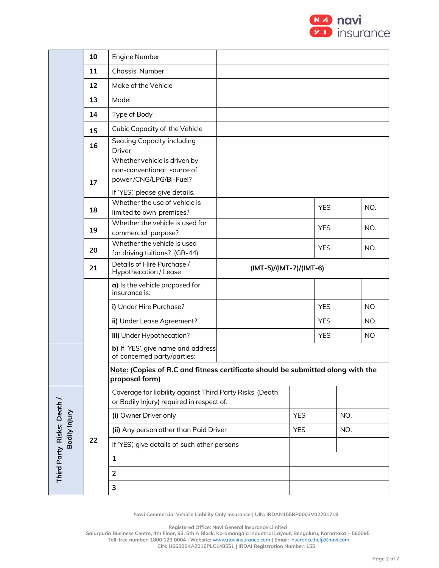

|                           | 10 | Engine Number                                                                                                          |                         |            |            |     |           |
|---------------------------|----|------------------------------------------------------------------------------------------------------------------------|-------------------------|------------|------------|-----|-----------|
|                           | 11 | Chassis Number                                                                                                         |                         |            |            |     |           |
|                           | 12 | Make of the Vehicle                                                                                                    |                         |            |            |     |           |
|                           | 13 | Model                                                                                                                  |                         |            |            |     |           |
|                           | 14 | Type of Body                                                                                                           |                         |            |            |     |           |
|                           | 15 | Cubic Capacity of the Vehicle                                                                                          |                         |            |            |     |           |
|                           | 16 | Seating Capacity including<br>Driver                                                                                   |                         |            |            |     |           |
|                           | 17 | Whether vehicle is driven by<br>non-conventional source of<br>power/CNG/LPG/Bi-Fuel?<br>If 'YES', please give details. |                         |            |            |     |           |
|                           | 18 | Whether the use of vehicle is<br>limited to own premises?                                                              |                         |            | <b>YES</b> |     | NO.       |
|                           | 19 | Whether the vehicle is used for<br>commercial purpose?                                                                 |                         |            | <b>YES</b> |     | NO.       |
|                           | 20 | Whether the vehicle is used<br>for driving tuitions? (GR-44)                                                           |                         |            | <b>YES</b> |     | NO.       |
|                           | 21 | Details of Hire Purchase /<br>Hypothecation / Lease                                                                    | (IMT-5)/(IMT-7)/(IMT-6) |            |            |     |           |
|                           |    | a) Is the vehicle proposed for<br>insurance is:                                                                        |                         |            |            |     |           |
|                           |    | i) Under Hire Purchase?                                                                                                |                         |            | <b>YES</b> |     | <b>NO</b> |
|                           |    | ii) Under Lease Agreement?                                                                                             |                         | <b>YES</b> |            |     | <b>NO</b> |
|                           |    | iii) Under Hypothecation?                                                                                              |                         |            | <b>YES</b> |     | <b>NO</b> |
|                           |    | b) If 'YES', give name and address<br>of concerned party/parties:                                                      |                         |            |            |     |           |
|                           |    | Note: (Copies of R.C and fitness certificate should be submitted along with the<br>proposal form)                      |                         |            |            |     |           |
|                           |    | Coverage for liability against Third Party Risks (Death<br>or Bodily Injury) required in respect of:                   |                         |            |            |     |           |
|                           |    | (i) Owner Driver only                                                                                                  |                         |            |            | NO. |           |
| Bodily Injury             |    | (ii) Any person other than Paid Driver                                                                                 |                         |            |            | NO. |           |
|                           | 22 | If 'YES', give details of such other persons                                                                           |                         |            |            |     |           |
| Third Party Risks: Death/ |    | $\mathbf{1}$                                                                                                           |                         |            |            |     |           |
|                           |    | $\overline{2}$                                                                                                         |                         |            |            |     |           |
|                           |    | 3                                                                                                                      |                         |            |            |     |           |

**Registered Office: Navi General Insurance Limited**

**Salarpuria Business Centre, 4th Floor, 93, 5th A Block, Koramangala Industrial Layout, Bengaluru, Karnataka – 560095 Toll-free number: 1800 123 0004 | Website:** [www.naviinsurance.com](http://www.naviinsurance.com/) **| Email:** [insurance.help@navi.com](mailto:insurance.help@navi.com)

**CIN: U66000KA2016PLC148551 | IRDAI Registration Number: 155**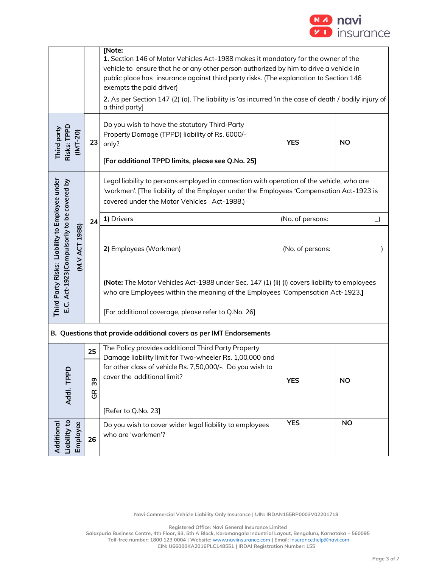

| Third party<br>Risks: TPPD                                                                                         | [Note:<br>1. Section 146 of Motor Vehicles Act-1988 makes it mandatory for the owner of the<br>vehicle to ensure that he or any other person authorized by him to drive a vehicle in<br>public place has insurance against third party risks. (The explanation to Section 146<br>exempts the paid driver)<br>2. As per Section 147 (2) (a). The liability is 'as incurred 'in the case of death / bodily injury of<br>a third party]<br>Do you wish to have the statutory Third-Party<br>$(MT-20)$<br>Property Damage (TPPD) liability of Rs. 6000/-<br><b>YES</b><br><b>NO</b><br>23<br>only? |                                                                                                                                                                                                                                       |                  |           |  |  |  |  |
|--------------------------------------------------------------------------------------------------------------------|------------------------------------------------------------------------------------------------------------------------------------------------------------------------------------------------------------------------------------------------------------------------------------------------------------------------------------------------------------------------------------------------------------------------------------------------------------------------------------------------------------------------------------------------------------------------------------------------|---------------------------------------------------------------------------------------------------------------------------------------------------------------------------------------------------------------------------------------|------------------|-----------|--|--|--|--|
|                                                                                                                    |                                                                                                                                                                                                                                                                                                                                                                                                                                                                                                                                                                                                | [For additional TPPD limits, please see Q.No. 25]                                                                                                                                                                                     |                  |           |  |  |  |  |
|                                                                                                                    |                                                                                                                                                                                                                                                                                                                                                                                                                                                                                                                                                                                                | Legal liability to persons employed in connection with operation of the vehicle, who are<br>'workmen'. [The liability of the Employer under the Employees 'Compensation Act-1923 is<br>covered under the Motor Vehicles Act-1988.)    |                  |           |  |  |  |  |
|                                                                                                                    | 24                                                                                                                                                                                                                                                                                                                                                                                                                                                                                                                                                                                             | 1) Drivers                                                                                                                                                                                                                            | (No. of persons: |           |  |  |  |  |
| Third Party Risks: Liability to Employee under<br>E.C. Act-1923(Compulsorily to be covered by<br>1988)<br>(M.V ACT |                                                                                                                                                                                                                                                                                                                                                                                                                                                                                                                                                                                                | 2) Employees (Workmen)<br>(No. of persons:                                                                                                                                                                                            |                  |           |  |  |  |  |
|                                                                                                                    |                                                                                                                                                                                                                                                                                                                                                                                                                                                                                                                                                                                                | (Note: The Motor Vehicles Act-1988 under Sec. 147 (1) (ii) (i) covers liability to employees<br>who are Employees within the meaning of the Employees 'Compensation Act-1923.]<br>[For additional coverage, please refer to Q.No. 26] |                  |           |  |  |  |  |
|                                                                                                                    |                                                                                                                                                                                                                                                                                                                                                                                                                                                                                                                                                                                                | B. Questions that provide additional covers as per IMT Endorsements                                                                                                                                                                   |                  |           |  |  |  |  |
|                                                                                                                    | 25                                                                                                                                                                                                                                                                                                                                                                                                                                                                                                                                                                                             | The Policy provides additional Third Party Property                                                                                                                                                                                   |                  |           |  |  |  |  |
| Addl. TPPD                                                                                                         | 39<br>$\mathfrak{E}$                                                                                                                                                                                                                                                                                                                                                                                                                                                                                                                                                                           | Damage liability limit for Two-wheeler Rs. 1,00,000 and<br>for other class of vehicle Rs. 7,50,000/-. Do you wish to<br>cover the additional limit?                                                                                   | <b>YES</b>       | <b>NO</b> |  |  |  |  |
|                                                                                                                    |                                                                                                                                                                                                                                                                                                                                                                                                                                                                                                                                                                                                | [Refer to Q.No. 23]                                                                                                                                                                                                                   |                  |           |  |  |  |  |
| Additional                                                                                                         | <b>YES</b><br><b>NO</b><br>Liability to<br>Employee<br>Do you wish to cover wider legal liability to employees<br>who are 'workmen'?<br>26                                                                                                                                                                                                                                                                                                                                                                                                                                                     |                                                                                                                                                                                                                                       |                  |           |  |  |  |  |

**Registered Office: Navi General Insurance Limited**

**Salarpuria Business Centre, 4th Floor, 93, 5th A Block, Koramangala Industrial Layout, Bengaluru, Karnataka – 560095 Toll-free number: 1800 123 0004 | Website:** [www.naviinsurance.com](http://www.naviinsurance.com/) **| Email:** [insurance.help@navi.com](mailto:insurance.help@navi.com)

**CIN: U66000KA2016PLC148551 | IRDAI Registration Number: 155**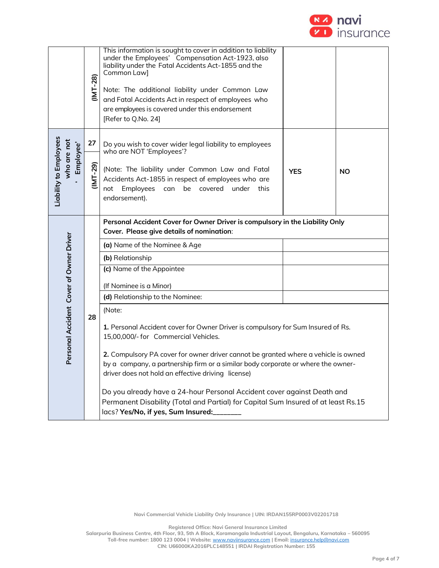

|                                                    | $(NT-28)$        | This information is sought to cover in addition to liability<br>under the Employees' Compensation Act-1923, also<br>liability under the Fatal Accidents Act-1855 and the<br>Common Law]<br>Note: The additional liability under Common Law<br>and Fatal Accidents Act in respect of employees who<br>are employees is covered under this endorsement<br>[Refer to Q.No. 24]                                                                                                                                                                                                                                                                                                                                                                                                                                       |            |           |  |  |  |  |
|----------------------------------------------------|------------------|-------------------------------------------------------------------------------------------------------------------------------------------------------------------------------------------------------------------------------------------------------------------------------------------------------------------------------------------------------------------------------------------------------------------------------------------------------------------------------------------------------------------------------------------------------------------------------------------------------------------------------------------------------------------------------------------------------------------------------------------------------------------------------------------------------------------|------------|-----------|--|--|--|--|
| Liability to Employees<br>who are not<br>Employee' | 27<br>$(1MT-29)$ | Do you wish to cover wider legal liability to employees<br>who are NOT 'Employees'?<br>(Note: The liability under Common Law and Fatal<br>Accidents Act-1855 in respect of employees who are<br>Employees can<br>be covered under this<br>not<br>endorsement).                                                                                                                                                                                                                                                                                                                                                                                                                                                                                                                                                    | <b>YES</b> | <b>NO</b> |  |  |  |  |
| Personal Accident Cover of Owner Driver            | 28               | Personal Accident Cover for Owner Driver is compulsory in the Liability Only<br>Cover. Please give details of nomination:<br>(a) Name of the Nominee & Age<br>(b) Relationship<br>(c) Name of the Appointee<br>(If Nominee is a Minor)<br>(d) Relationship to the Nominee:<br>(Note:<br>1. Personal Accident cover for Owner Driver is compulsory for Sum Insured of Rs.<br>15,00,000/- for Commercial Vehicles.<br>2. Compulsory PA cover for owner driver cannot be granted where a vehicle is owned<br>by a company, a partnership firm or a similar body corporate or where the owner-<br>driver does not hold an effective driving license)<br>Do you already have a 24-hour Personal Accident cover against Death and<br>Permanent Disability (Total and Partial) for Capital Sum Insured of at least Rs.15 |            |           |  |  |  |  |

**Registered Office: Navi General Insurance Limited**

**Salarpuria Business Centre, 4th Floor, 93, 5th A Block, Koramangala Industrial Layout, Bengaluru, Karnataka – 560095 Toll-free number: 1800 123 0004 | Website:** [www.naviinsurance.com](http://www.naviinsurance.com/) **| Email:** [insurance.help@navi.com](mailto:insurance.help@navi.com)

**CIN: U66000KA2016PLC148551 | IRDAI Registration Number: 155**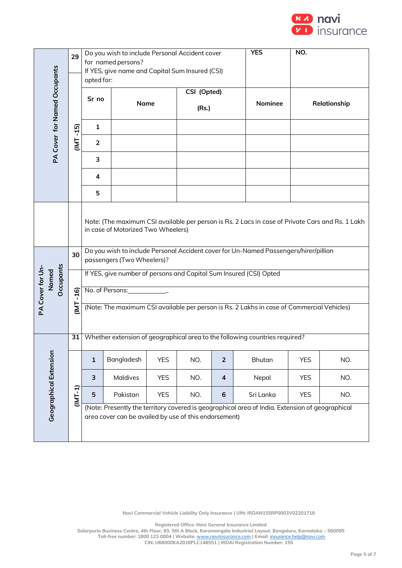

|                                              | 29                | Do you wish to include Personal Accident cover<br>for named persons?                                                                   |                                                                                                                    |            |             |                | <b>YES</b>                                                                                      | NO.          |     |  |  |
|----------------------------------------------|-------------------|----------------------------------------------------------------------------------------------------------------------------------------|--------------------------------------------------------------------------------------------------------------------|------------|-------------|----------------|-------------------------------------------------------------------------------------------------|--------------|-----|--|--|
|                                              |                   | opted for:                                                                                                                             | If YES, give name and Capital Sum Insured (CSI)                                                                    |            |             |                |                                                                                                 |              |     |  |  |
|                                              |                   | Sr no                                                                                                                                  |                                                                                                                    |            | CSI (Opted) |                |                                                                                                 |              |     |  |  |
| PA Cover for Named Occupants                 |                   |                                                                                                                                        | <b>Name</b>                                                                                                        |            | (Rs.)       |                | Nominee                                                                                         | Relationship |     |  |  |
|                                              | $-15$             | $\mathbf{1}$                                                                                                                           |                                                                                                                    |            |             |                |                                                                                                 |              |     |  |  |
|                                              | IML               | $\overline{2}$                                                                                                                         |                                                                                                                    |            |             |                |                                                                                                 |              |     |  |  |
|                                              |                   | 3                                                                                                                                      |                                                                                                                    |            |             |                |                                                                                                 |              |     |  |  |
|                                              |                   | 4                                                                                                                                      |                                                                                                                    |            |             |                |                                                                                                 |              |     |  |  |
|                                              |                   | 5                                                                                                                                      |                                                                                                                    |            |             |                |                                                                                                 |              |     |  |  |
|                                              |                   | Note: (The maximum CSI available per person is Rs. 2 Lacs in case of Private Cars and Rs. 1 Lakh<br>in case of Motorized Two Wheelers) |                                                                                                                    |            |             |                |                                                                                                 |              |     |  |  |
|                                              | 30                |                                                                                                                                        | Do you wish to include Personal Accident cover for Un-Named Passengers/hirer/pillion<br>passengers (Two Wheelers)? |            |             |                |                                                                                                 |              |     |  |  |
| <b>Dccupants</b><br>PA Cover for Un<br>Named |                   |                                                                                                                                        |                                                                                                                    |            |             |                | If YES, give number of persons and Capital Sum Insured (CSI) Opted                              |              |     |  |  |
|                                              | $-16$<br><u>T</u> |                                                                                                                                        | No. of Persons: The Contract of Persons:                                                                           |            |             |                |                                                                                                 |              |     |  |  |
|                                              |                   |                                                                                                                                        |                                                                                                                    |            |             |                | (Note: The maximum CSI available per person is Rs. 2 Lakhs in case of Commercial Vehicles)      |              |     |  |  |
|                                              | 31                |                                                                                                                                        |                                                                                                                    |            |             |                | Whether extension of geographical area to the following countries required?                     |              |     |  |  |
| <b>Geographical Extension</b>                |                   | $\mathbf 1$                                                                                                                            | Bangladesh                                                                                                         | <b>YES</b> | NO.         | $\overline{2}$ | <b>Bhutan</b>                                                                                   | <b>YES</b>   | NO. |  |  |
|                                              |                   | 3                                                                                                                                      | <b>Maldives</b>                                                                                                    | <b>YES</b> | NO.         | $\overline{4}$ | Nepal                                                                                           | <b>YES</b>   | NO. |  |  |
|                                              | (INT-1)           | 5                                                                                                                                      | Pakistan                                                                                                           | <b>YES</b> | NO.         | 6              | Sri Lanka                                                                                       | <b>YES</b>   | NO. |  |  |
|                                              |                   |                                                                                                                                        | area cover can be availed by use of this endorsement)                                                              |            |             |                | (Note: Presently the territory covered is geographical area of India. Extension of geographical |              |     |  |  |

**Registered Office: Navi General Insurance Limited**

**Salarpuria Business Centre, 4th Floor, 93, 5th A Block, Koramangala Industrial Layout, Bengaluru, Karnataka – 560095 Toll-free number: 1800 123 0004 | Website:** [www.naviinsurance.com](http://www.naviinsurance.com/) **| Email:** [insurance.help@navi.com](mailto:insurance.help@navi.com) **CIN: U66000KA2016PLC148551 | IRDAI Registration Number: 155**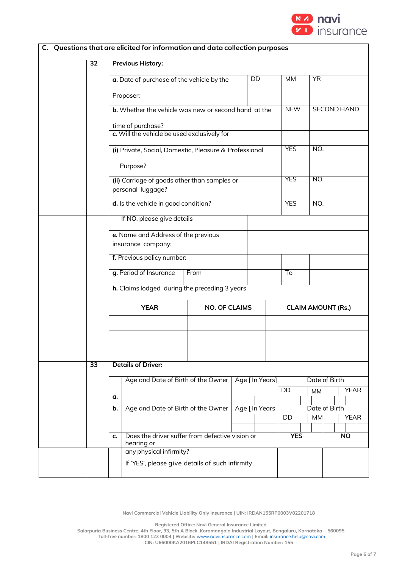

|  |                 |                                                       | C. Questions that are elicited for information and data collection purposes |                      |  |                |                           |               |  |                    |             |
|--|-----------------|-------------------------------------------------------|-----------------------------------------------------------------------------|----------------------|--|----------------|---------------------------|---------------|--|--------------------|-------------|
|  | 32              | <b>Previous History:</b>                              |                                                                             |                      |  |                |                           |               |  |                    |             |
|  |                 |                                                       | a. Date of purchase of the vehicle by the                                   |                      |  | DD             | <b>MM</b>                 | <b>YR</b>     |  |                    |             |
|  |                 |                                                       | Proposer:                                                                   |                      |  |                |                           |               |  |                    |             |
|  |                 |                                                       | <b>b.</b> Whether the vehicle was new or second hand at the                 |                      |  |                | <b>NEW</b>                |               |  | <b>SECOND HAND</b> |             |
|  |                 |                                                       | time of purchase?                                                           |                      |  |                |                           |               |  |                    |             |
|  |                 |                                                       | c. Will the vehicle be used exclusively for                                 |                      |  |                |                           |               |  |                    |             |
|  |                 |                                                       | (i) Private, Social, Domestic, Pleasure & Professional                      |                      |  |                | <b>YES</b>                | NO.           |  |                    |             |
|  |                 |                                                       | Purpose?                                                                    |                      |  |                |                           |               |  |                    |             |
|  |                 |                                                       | (ii) Carriage of goods other than samples or<br>personal luggage?           |                      |  |                | <b>YES</b>                | NO.           |  |                    |             |
|  |                 |                                                       | d. Is the vehicle in good condition?                                        |                      |  |                | <b>YES</b>                | NO.           |  |                    |             |
|  |                 | If NO, please give details                            |                                                                             |                      |  |                |                           |               |  |                    |             |
|  |                 | e. Name and Address of the previous                   |                                                                             |                      |  |                |                           |               |  |                    |             |
|  |                 |                                                       | insurance company:                                                          |                      |  |                |                           |               |  |                    |             |
|  |                 |                                                       | f. Previous policy number:                                                  |                      |  |                |                           |               |  |                    |             |
|  |                 |                                                       | g. Period of Insurance                                                      | From                 |  |                | To                        |               |  |                    |             |
|  |                 |                                                       | h. Claims lodged during the preceding 3 years                               |                      |  |                |                           |               |  |                    |             |
|  |                 |                                                       | <b>YEAR</b>                                                                 | <b>NO. OF CLAIMS</b> |  |                | <b>CLAIM AMOUNT (Rs.)</b> |               |  |                    |             |
|  |                 |                                                       |                                                                             |                      |  |                |                           |               |  |                    |             |
|  |                 |                                                       |                                                                             |                      |  |                |                           |               |  |                    |             |
|  |                 |                                                       |                                                                             |                      |  |                |                           |               |  |                    |             |
|  | $\overline{33}$ |                                                       | <b>Details of Driver:</b>                                                   |                      |  |                |                           |               |  |                    |             |
|  |                 | Age [ In Years]<br>Age and Date of Birth of the Owner |                                                                             |                      |  |                | Date of Birth             |               |  |                    |             |
|  |                 | α.                                                    |                                                                             |                      |  |                | DD                        | <b>MM</b>     |  |                    | <b>YEAR</b> |
|  |                 | Age and Date of Birth of the Owner<br>b.              |                                                                             |                      |  | Age [ In Years |                           | Date of Birth |  |                    |             |
|  |                 |                                                       |                                                                             |                      |  |                | <b>DD</b>                 | <b>MM</b>     |  |                    | <b>YEAR</b> |
|  |                 | c.                                                    | Does the driver suffer from defective vision or<br>hearing or               |                      |  |                | <b>YES</b>                |               |  | <b>NO</b>          |             |
|  |                 |                                                       | any physical infirmity?                                                     |                      |  |                |                           |               |  |                    |             |
|  |                 |                                                       | If 'YES', please give details of such infirmity                             |                      |  |                |                           |               |  |                    |             |

**Registered Office: Navi General Insurance Limited**

**Salarpuria Business Centre, 4th Floor, 93, 5th A Block, Koramangala Industrial Layout, Bengaluru, Karnataka – 560095 Toll-free number: 1800 123 0004 | Website:** [www.naviinsurance.com](http://www.naviinsurance.com/) **| Email:** [insurance.help@navi.com](mailto:insurance.help@navi.com)